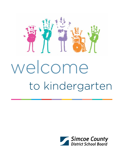

# welcome to kindergarten

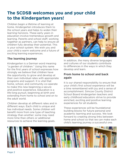## **The SCDSB welcomes you and your child to the Kindergarten years!**

Children begin a lifetime of learning at home. Kindergarten introduces them to the school years and helps to widen their learning horizons. These early years in education involve tremendous growth and learning. Parents and school staff, working together as partners, can help to ensure all children fully develop their potential. This is your school system. We wish you and your child a warm welcome and a future of exciting learning experiences.

#### **The learning journey**

Kindergarten is a German word meaning "a garden of children." Using this name for the first years of school expresses how strongly we believe that children have the opportunity to grow and develop at their own individual rates with appropriate programs and support. It is vital that home, school, and community co-operate to make this new beginning a secure and positive experience. Education is a life-long pursuit, beginning at birth and extending from home to school and on to the adult world.

Children develop at different rates and in different ways. Each child is unique and has individual needs. Some children will benefit more from one type of teaching strategy than another; some may need more time than others or additional resources to achieve the learning goals.



In addition, the many diverse languages and cultures of our students contribute to differences in the ways in which they develop and learn.

#### **From home to school and back again**

It is our shared responsibility to ensure that your child's first school experience will be a time remembered with joy and a sense of accomplishment. Simcoe County District School Board kindergarten teachers and early childhood educators strive to provide enriched, exciting and positive learning experiences for all students.

These experiences will be foundational building blocks for future personal and academic learning and success. We look forward to creating strong links between home and school so that we can make each child's learning journey a successful one.

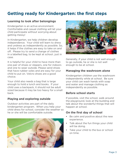## **Getting ready for Kindergarten: the first steps**

#### **Learning to look after belongings**

Kindergarten is an active environment. Comfortable and casual clothing will let your child participate without worrying about getting messy!

In Kindergarten, we help children develop independence. Your child will learn to dress and undress as independently as possible. So, it helps if the clothes are easy to take on and off. Please try to send a change of clothes in a labelled bag, to be kept at school…just in case.

It is helpful for your child to have more than one pair of shoes or slippers, one for indoors and one to wear outside. Please send shoes that have rubber soles and are easy for your child to put on. Velcro shoes are a good choice.

Your child also needs a bag that is large enough to hold a lunch and books. If your child uses a backpack, it should not be adult sized because it may be too heavy for a small back.

#### **Playing and exploring outside**

Outdoor activities are part of the daily kindergarten program. When you help your child dress for school, consider the weather so he or she will be comfortable outside.





Generally, if your child is not well enough to go outside, he or she is not well enough to be at school.

#### **Managing the washroom alone**

Kindergarten children use the washroom independently while at school. Be sure your child can wash hands with soap and water and manage clothing as independently as possible.

#### **Before school starts**

If possible, visit the school, walk around the playground, look at the building and talk about the wonderful things that will happen at school.

#### **On the first day of school**

- Be calm and positive about the new experience.
- Talk about the fun things your child will be doing.
- Take your child to the bus or school on time.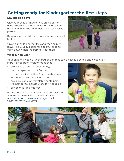## **Getting ready for Kindergarten: the first steps**

#### **Saying goodbye**

Give your child a "magic" kiss on his or her hand. These kisses don't wash off and can be used whenever the child feels lonely or misses a parent.

Reassure your child that you know he or she will be fine.

Give your child another kiss and then calmly leave. It is usually easier for a tearful child to calm down when the parent is not there.



#### **"Is it lunch yet?"**

Your child will need a lunch bag or box that can be easily opened and closed. It is important to pack healthy foods that:

- are easy to open independently;
- can be repacked if not finished;
- do not require heating (if you wish to send warm foods please use a thermos);
- are in reusable or recyclable containers (remember to include utensils if needed);
- are peanut- and nut-free.

For healthy lunch and snack ideas contact the Simcoe Muskoka District Health Unit at: www.simcoemuskokahealth.org or call 1-877-721-7520 ext. 8813.



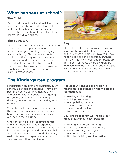## **What happens at school?**

#### **The Child**

Each child is a unique individual. Learning success depends on the development of feelings of confidence and self-esteem as well as the recognition of the value of the child's individual abilities.

#### **The Educators**

The teachers and early childhood educators create rich learning environments that are safe, caring, accepting, challenging and stimulating. Children are expected to think, to notice, to question, to explore, to discover, and to make connections. The educators carefully observe each child in order to know his or her growing capabilities and then provide appropriate learning experiences.



#### **Play**

Play is the child's natural way of making sense of the world. Children learn when all their senses are actively involved. They need to talk and think about everything they do. This is why our Kindergartens are active environments where children are involved with ideas, feelings, and concepts. Research indicates that play is the way young children learn best.

## **The Kindergarten program**

Kindergarten children are energetic, lively, sensitive, curious and creative. They learn best in an active setting, manipulating and playing with materials, investigating, observing, experimenting, inquiring, drawing conclusions and interacting with others.

Your child will have many experiences in the Kindergarten years that will prepare him or her for meeting expectations as outlined in the program.

Since children develop at different rates and in different ways the program is flexible and diverse. We provide a range of instructional supports and services to help all students learn and succeed - including early interventions, special education services, transition planning, etc.

Activities will engage all children in meaningful experiences which will be the foundations for:

- reading and writing
- solving problems
- manipulating materials
- speaking and listening
- viewing and thinking
- forming concepts

#### Your child's program will include four areas of learning. These areas are:

- Belonging and Contributing
- Self-Regulation and Well-Being
- Demonstrating Literacy and Mathematics Behaviours
- Problem Solving and Innovating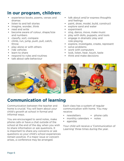## **In our program, children:**

- experience books, poems, verses and dramas
- listen to and tell stories
- imagine, wonder, think
- read and write
- become aware of colour, shape/size and numbers
- classify, sort, compare
- climb, run, jump, push, pull, catch, throw
- play alone or with others
- ride vehicles
- learn to share
- respond to rules and routines
- talk about safe behaviour
- talk about and/or express thoughts and feelings
- paint, draw, model, build, construct
- explore sand and water
- experiment
- sing, dance, move, make music
- play with dolls, puppets, and tools
- engage in dramatic play and role-playing
- explore, investigate, create, represent
- solve problems
- work with computers
- look, listen, hear, touch, taste
- think and make decisions



## **Communication of learning**

Communication between the teacher and home is crucial. You will learn about your child's growth at school in formal and informal ways.

You are encouraged to send notes, make phone calls or have a chat outside of the school at the end of the day when you wish to share information or ask questions. It is important to share any concerns or ask questions so your child's school experiences remain positive. If a major issue or concern arises, a conference may be arranged.

Each class has a system of regular communication with home. You may receive:

- newsletters
- phone calls
- monthly calendars • notes
- agendas

Your child will receive a 'Communication of Learning' three times during the year.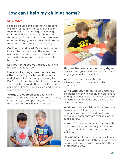## **How can I help my child at home?**

#### **LITERACY**

Reading aloud is the best way to prepare children for learning to read. It will help them develop a wide range of language skills needed for success in school and throughout life. In addition, there are many other fun things you and your child can do together to help growth and learning.

Cuddle up and read. Talk about the book, look at the pictures, read the same book over and over, talk about ideas and new words. Use funny voices, laugh, snuggle and have fun.

Let your child see you read. Your child will copy what you do.

Have books, magazines, comics, and other texts in your home. Buy books and give books or subscriptions as gifts. Don't forget that the public library is a great source of books and other texts. Get your child his or her own library card and enter a world of adventure.

Words are everywhere! Your child's world is filled with words — on cereal boxes, street signs, stores, posters, etc. Pick out words and letters whenever you can.





Sing, recite poems and nursery rhymes. This will help your child develop an ear for language as well as have fun.

Why? Encourage your child to ask questions and to use words to communicate.

Write with your child. Provide materials like pencils, markers, paper, and crayons for writing activities. Help your child to begin to learn his or her name and also to draw pictures and tell stories.

#### Work with your child on the computer.

Provide your child chances to use a computer with you. If you do not have one in your home they are available at the public library.

Watch T.V. and movies with your child. Talk about what you see, enjoy the time together but limit the time spent on these activities.

**Play games!** Play guessing games, finger paint, make (and bake) letters out of cookie dough, make words with magnetic letters or alphabet cereal.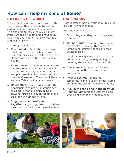## **How can I help my child at home?**

#### **EXPLORING THE WORLD**

Young children are very curious about the world around them and love to explore, experiment and manipulate materials. This exploration helps them learn many important skills in math and language but also gives a foundation for science, the arts and healthy living.

You and your child can:

- 1. Play outside. Go to the park, throw a ball, go to the beach, take a walk or ride your bikes. Active children are more likely to grow up to be healthy, active adults.
- 2. **Enjoy the world.** Take time to explore nature with your child. You can watch worms after it rains, dig in the garden and plant seeds, collect leaves, admire the snowflakes, etc. The possibilities are endless. Talk about what you see and do.
- 3. Be creative. Provide your child with opportunities to use art materials such as scissors, markers, glue, paint or crayons. Make playdough together and enjoy making amazing items.
- 4. Sing, dance and make music together. Sing songs, listen to children's music and dance to your favourite song.

#### **MATHEMATICS**

Math is already part of your daily life so let it be part of your child's.

You and your child can:

- 1. **Sort things** cutlery, laundry, games, toys, etc
- 2. **Count things** toys, steps to the corner, people at the table, buttons or street lamps. Sing counting songs and read counting books.
- 3. Cook cooking is filled with math. Talk about measuring, pouring, timing and counting (how many cookies are left).
- 4. See shapes point out and name shapes and patterns in your home and community.
- 5. Measure things check the temperature, pick out the biggest apple, compare the size of the two leaves, etc.
- 6. Play in the sand and in the bathtub - playing with sand and water will help your child learn many math concepts.

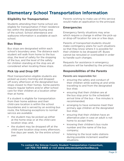## **Elementary School Transportation Information**

#### **Eligibility for Transportation**

Students attending their home school are eligible for transportation if their residence lies within the designated busing area of the school. School attendance and walkzone information is available at each school.

#### **Bus Stops**

Bus stops are designated within each school's boundary area. The distance each student will walk from home to the bus stop, the level of safety for the stopping of the bus, and the level of the safety for children standing at the stop are all considered when locating these stops.

#### **Pick Up and Drop Off**

Most transportation eligible students are picked up every morning and dropped off every afternoon at the designated bus stops closest to their homes. Some parents require regular before and/or after-school care for their children at a location other than at home.

If a student is eligible for transportation from their home address and their child-care location is within the school boundaries and is served by an existing bus route, the following exceptions to normal service are available:

- the student may be picked up either at the home stop or at the child-care location stop; and,
- the student may be dropped off at the child-care location stop every afternoon, five days per week, for the entire school year.

Parents wishing to make use of this service would make an application to the principal.

#### **Emergencies**

Emergency family situations may arise which require a change in either the pick-up or drop-off location for one or a few days.

Parents of transported students should make contingency plans for such situations so that they know where it is possible for their children to be dropped off. Buses cannot be rerouted or overloaded in order to handle such changes.

Requests for assistance in emergency situations will be handled by the principal.

#### **Responsibilities of the Parents**

#### Parents are responsible for:

- ensuring the safety and conduct of their children while waiting at and while travelling to and from the designated bus stop;
- ensuring that their children are at the bus stop prior to the scheduled arrival time of the bus – five minutes is recommended;
- arranging to have someone meet their primary age children at the designated bus stop;
- ensuring that their children have an alternative plan in case an adult is not home to accept them;
- knowing their children's bus route number and the name of the bus company;
- listening to the local radio stations during possible inclement weather situations.

To contact the Simcoe County Student Transportation Consortium, call **705–733-8965** or visit **www.simcoecountyschoolbus.ca**.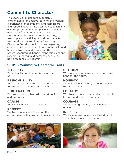## **Commit to Character**

The SCDSB provides safe supportive environments for positive learning and working experiences for all students and staff. Board and school initiatives are designed to teach and encourage students to be positive, productive members of our community. Character Development is the intentional modeling, teaching and practicing of positive character traits and is an integral part of each day. Character Development includes respecting others by listening, promoting responsibility and honesty, trusting and respecting the ideas of others, encouraging honest/responsible actions, respecting individual differences, as well as being responsible in learning.



### **SCDSB Commit to Character Traits**

#### **INTEGRITY**

We act justly and honourably in all that we do.

#### **RESPONSIBILITY**

We are accountable for our actions and we follow through on our commitments.

#### **COOPERATION**

We work together towards shared goals and purposes.

#### **CARING**

We show kindness towards others.

#### **RESPECT**

We treat ourselves, others and the environment with consideration and dignity.

#### **OPTIMISM**

We maintain a positive attitude and have hope for the future.

#### **HONESTY**

We behave in a sincere, trustworthy and truthful manner.

#### **EMPATHY**

We strive to understand and appreciate the feelings and actions of others.

#### **COURAGE**

We do the right thing, even when it's difficult.

#### **INCLUSIVENESS**

We include everyone in what we do and value their unique contributions.

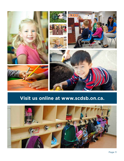

## **Visit us online at www.scdsb.on.ca.**